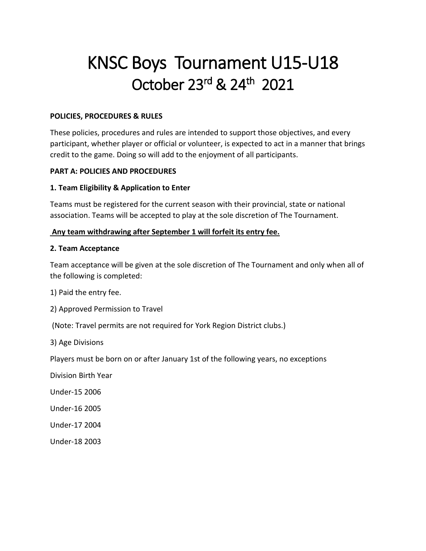# KNSC Boys Tournament U15-U18 October 23<sup>rd</sup> & 24<sup>th</sup> 2021

#### **POLICIES, PROCEDURES & RULES**

These policies, procedures and rules are intended to support those objectives, and every participant, whether player or official or volunteer, is expected to act in a manner that brings credit to the game. Doing so will add to the enjoyment of all participants.

## **PART A: POLICIES AND PROCEDURES**

## **1. Team Eligibility & Application to Enter**

Teams must be registered for the current season with their provincial, state or national association. Teams will be accepted to play at the sole discretion of The Tournament.

## **Any team withdrawing after September 1 will forfeit its entry fee.**

#### **2. Team Acceptance**

Team acceptance will be given at the sole discretion of The Tournament and only when all of the following is completed:

1) Paid the entry fee.

2) Approved Permission to Travel

(Note: Travel permits are not required for York Region District clubs.)

3) Age Divisions

Players must be born on or after January 1st of the following years, no exceptions

Division Birth Year

Under-15 2006

Under-16 2005

Under-17 2004

Under-18 2003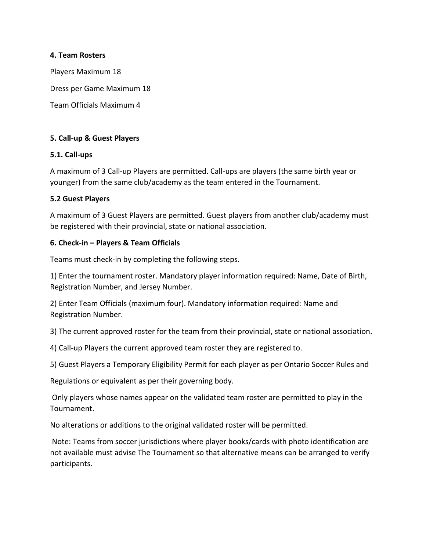#### **4. Team Rosters**

Players Maximum 18 Dress per Game Maximum 18 Team Officials Maximum 4

## **5. Call-up & Guest Players**

## **5.1. Call-ups**

A maximum of 3 Call-up Players are permitted. Call-ups are players (the same birth year or younger) from the same club/academy as the team entered in the Tournament.

#### **5.2 Guest Players**

A maximum of 3 Guest Players are permitted. Guest players from another club/academy must be registered with their provincial, state or national association.

#### **6. Check-in – Players & Team Officials**

Teams must check-in by completing the following steps.

1) Enter the tournament roster. Mandatory player information required: Name, Date of Birth, Registration Number, and Jersey Number.

2) Enter Team Officials (maximum four). Mandatory information required: Name and Registration Number.

3) The current approved roster for the team from their provincial, state or national association.

4) Call-up Players the current approved team roster they are registered to.

5) Guest Players a Temporary Eligibility Permit for each player as per Ontario Soccer Rules and

Regulations or equivalent as per their governing body.

Only players whose names appear on the validated team roster are permitted to play in the Tournament.

No alterations or additions to the original validated roster will be permitted.

Note: Teams from soccer jurisdictions where player books/cards with photo identification are not available must advise The Tournament so that alternative means can be arranged to verify participants.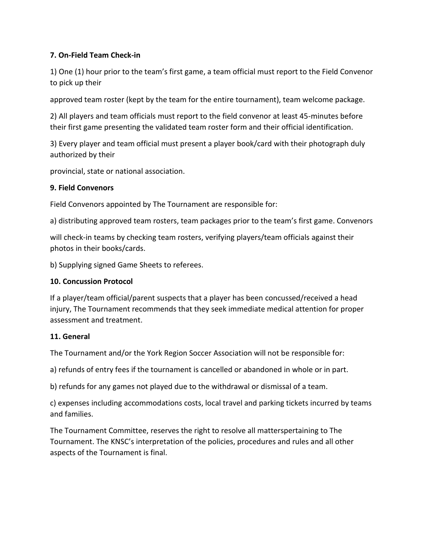# **7. On-Field Team Check-in**

1) One (1) hour prior to the team's first game, a team official must report to the Field Convenor to pick up their

approved team roster (kept by the team for the entire tournament), team welcome package.

2) All players and team officials must report to the field convenor at least 45-minutes before their first game presenting the validated team roster form and their official identification.

3) Every player and team official must present a player book/card with their photograph duly authorized by their

provincial, state or national association.

# **9. Field Convenors**

Field Convenors appointed by The Tournament are responsible for:

a) distributing approved team rosters, team packages prior to the team's first game. Convenors

will check-in teams by checking team rosters, verifying players/team officials against their photos in their books/cards.

b) Supplying signed Game Sheets to referees.

# **10. Concussion Protocol**

If a player/team official/parent suspects that a player has been concussed/received a head injury, The Tournament recommends that they seek immediate medical attention for proper assessment and treatment.

# **11. General**

The Tournament and/or the York Region Soccer Association will not be responsible for:

a) refunds of entry fees if the tournament is cancelled or abandoned in whole or in part.

b) refunds for any games not played due to the withdrawal or dismissal of a team.

c) expenses including accommodations costs, local travel and parking tickets incurred by teams and families.

The Tournament Committee, reserves the right to resolve all matterspertaining to The Tournament. The KNSC's interpretation of the policies, procedures and rules and all other aspects of the Tournament is final.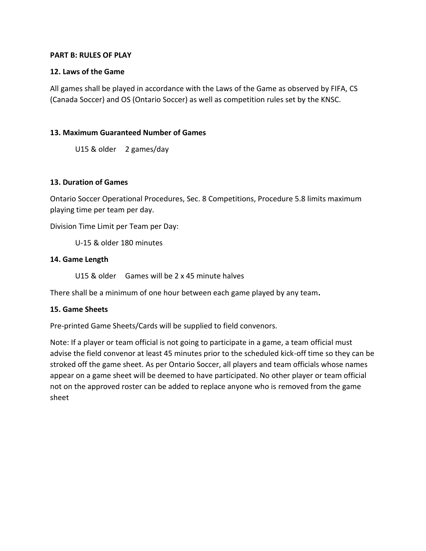#### **PART B: RULES OF PLAY**

## **12. Laws of the Game**

All games shall be played in accordance with the Laws of the Game as observed by FIFA, CS (Canada Soccer) and OS (Ontario Soccer) as well as competition rules set by the KNSC.

# **13. Maximum Guaranteed Number of Games**

U15 & older 2 games/day

#### **13. Duration of Games**

Ontario Soccer Operational Procedures, Sec. 8 Competitions, Procedure 5.8 limits maximum playing time per team per day.

Division Time Limit per Team per Day:

U-15 & older 180 minutes

#### **14. Game Length**

U15 & older Games will be 2 x 45 minute halves

There shall be a minimum of one hour between each game played by any team**.** 

#### **15. Game Sheets**

Pre-printed Game Sheets/Cards will be supplied to field convenors.

Note: If a player or team official is not going to participate in a game, a team official must advise the field convenor at least 45 minutes prior to the scheduled kick-off time so they can be stroked off the game sheet. As per Ontario Soccer, all players and team officials whose names appear on a game sheet will be deemed to have participated. No other player or team official not on the approved roster can be added to replace anyone who is removed from the game sheet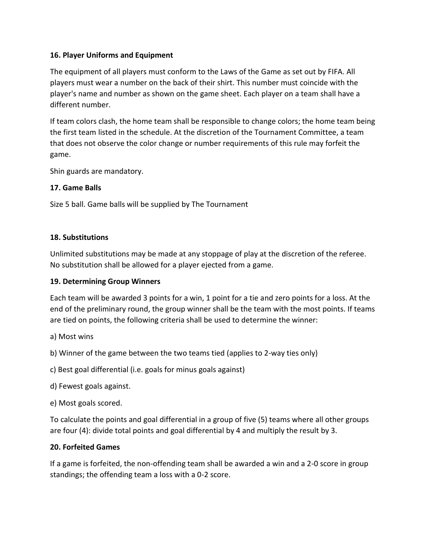# **16. Player Uniforms and Equipment**

The equipment of all players must conform to the Laws of the Game as set out by FIFA. All players must wear a number on the back of their shirt. This number must coincide with the player's name and number as shown on the game sheet. Each player on a team shall have a different number.

If team colors clash, the home team shall be responsible to change colors; the home team being the first team listed in the schedule. At the discretion of the Tournament Committee, a team that does not observe the color change or number requirements of this rule may forfeit the game.

Shin guards are mandatory.

## **17. Game Balls**

Size 5 ball. Game balls will be supplied by The Tournament

## **18. Substitutions**

Unlimited substitutions may be made at any stoppage of play at the discretion of the referee. No substitution shall be allowed for a player ejected from a game.

#### **19. Determining Group Winners**

Each team will be awarded 3 points for a win, 1 point for a tie and zero points for a loss. At the end of the preliminary round, the group winner shall be the team with the most points. If teams are tied on points, the following criteria shall be used to determine the winner:

a) Most wins

b) Winner of the game between the two teams tied (applies to 2-way ties only)

c) Best goal differential (i.e. goals for minus goals against)

- d) Fewest goals against.
- e) Most goals scored.

To calculate the points and goal differential in a group of five (5) teams where all other groups are four (4): divide total points and goal differential by 4 and multiply the result by 3.

# **20. Forfeited Games**

If a game is forfeited, the non-offending team shall be awarded a win and a 2-0 score in group standings; the offending team a loss with a 0-2 score.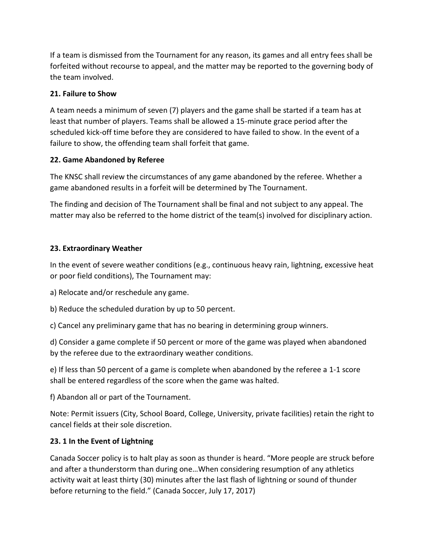If a team is dismissed from the Tournament for any reason, its games and all entry fees shall be forfeited without recourse to appeal, and the matter may be reported to the governing body of the team involved.

# **21. Failure to Show**

A team needs a minimum of seven (7) players and the game shall be started if a team has at least that number of players. Teams shall be allowed a 15-minute grace period after the scheduled kick-off time before they are considered to have failed to show. In the event of a failure to show, the offending team shall forfeit that game.

# **22. Game Abandoned by Referee**

The KNSC shall review the circumstances of any game abandoned by the referee. Whether a game abandoned results in a forfeit will be determined by The Tournament.

The finding and decision of The Tournament shall be final and not subject to any appeal. The matter may also be referred to the home district of the team(s) involved for disciplinary action.

# **23. Extraordinary Weather**

In the event of severe weather conditions (e.g., continuous heavy rain, lightning, excessive heat or poor field conditions), The Tournament may:

- a) Relocate and/or reschedule any game.
- b) Reduce the scheduled duration by up to 50 percent.
- c) Cancel any preliminary game that has no bearing in determining group winners.

d) Consider a game complete if 50 percent or more of the game was played when abandoned by the referee due to the extraordinary weather conditions.

e) If less than 50 percent of a game is complete when abandoned by the referee a 1-1 score shall be entered regardless of the score when the game was halted.

f) Abandon all or part of the Tournament.

Note: Permit issuers (City, School Board, College, University, private facilities) retain the right to cancel fields at their sole discretion.

# **23. 1 In the Event of Lightning**

Canada Soccer policy is to halt play as soon as thunder is heard. "More people are struck before and after a thunderstorm than during one…When considering resumption of any athletics activity wait at least thirty (30) minutes after the last flash of lightning or sound of thunder before returning to the field." (Canada Soccer, July 17, 2017)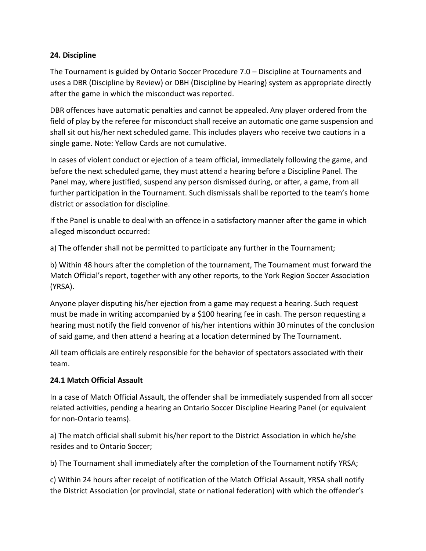# **24. Discipline**

The Tournament is guided by Ontario Soccer Procedure 7.0 – Discipline at Tournaments and uses a DBR (Discipline by Review) or DBH (Discipline by Hearing) system as appropriate directly after the game in which the misconduct was reported.

DBR offences have automatic penalties and cannot be appealed. Any player ordered from the field of play by the referee for misconduct shall receive an automatic one game suspension and shall sit out his/her next scheduled game. This includes players who receive two cautions in a single game. Note: Yellow Cards are not cumulative.

In cases of violent conduct or ejection of a team official, immediately following the game, and before the next scheduled game, they must attend a hearing before a Discipline Panel. The Panel may, where justified, suspend any person dismissed during, or after, a game, from all further participation in the Tournament. Such dismissals shall be reported to the team's home district or association for discipline.

If the Panel is unable to deal with an offence in a satisfactory manner after the game in which alleged misconduct occurred:

a) The offender shall not be permitted to participate any further in the Tournament;

b) Within 48 hours after the completion of the tournament, The Tournament must forward the Match Official's report, together with any other reports, to the York Region Soccer Association (YRSA).

Anyone player disputing his/her ejection from a game may request a hearing. Such request must be made in writing accompanied by a \$100 hearing fee in cash. The person requesting a hearing must notify the field convenor of his/her intentions within 30 minutes of the conclusion of said game, and then attend a hearing at a location determined by The Tournament.

All team officials are entirely responsible for the behavior of spectators associated with their team.

# **24.1 Match Official Assault**

In a case of Match Official Assault, the offender shall be immediately suspended from all soccer related activities, pending a hearing an Ontario Soccer Discipline Hearing Panel (or equivalent for non-Ontario teams).

a) The match official shall submit his/her report to the District Association in which he/she resides and to Ontario Soccer;

b) The Tournament shall immediately after the completion of the Tournament notify YRSA;

c) Within 24 hours after receipt of notification of the Match Official Assault, YRSA shall notify the District Association (or provincial, state or national federation) with which the offender's